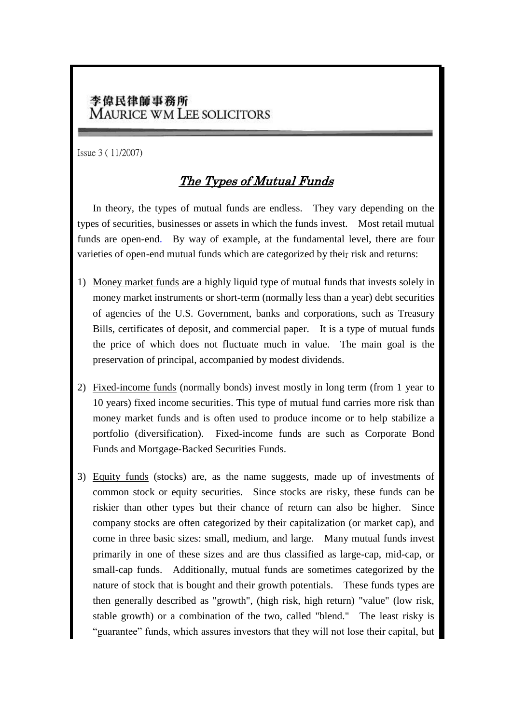## 李偉民律師事務所 **MAURICE WM LEE SOLICITORS**

Issue 3 ( 11/2007)

## The Types of Mutual Funds

In theory, the types of mutual funds are endless. They vary depending on the types of securities, businesses or assets in which the funds invest. Most retail mutual funds are open-end. By way of example, at the fundamental level, there are four varieties of open-end mutual funds which are categorized by their risk and returns:

- 1) [Money market](http://www.investopedia.com/terms/m/moneymarket.asp) funds are a highly liquid type of mutual funds that invests solely in money market instruments or short-term (normally less than a year) debt securities of agencies of the U.S. Government, banks and corporations, such as Treasury Bills, [certificates of deposit,](http://www.investorwords.com/808/certificates_of_deposit.html) and [commercial paper.](http://www.investorwords.com/961/commercial_paper.html) It is a type of mutual funds the price of which does not fluctuate much in value. The main [goal](http://www.investorwords.com/2187/goal.html) is the preservation of principal, accompanied by modest [dividends.](http://www.investorwords.com/1509/dividends.html)
- 2) [Fixed-income](http://www.investopedia.com/terms/f/fixed-incomesecurity.asp) funds (normally bonds) invest mostly in long term (from 1 year to 10 years) fixed income securities. This type of mutual fund carries more risk than money market funds and is often used to produce income or to help stabilize a portfolio (diversification). [Fixed-income](http://www.investopedia.com/terms/f/fixed-incomesecurity.asp) funds are such as Corporate Bond Funds and Mortgage-Backed Securities Funds.
- 3) [Equity](http://www.investopedia.com/terms/e/equity.asp) funds (stocks) are, as the name suggests, made up of investments of common stock or equity securities. Since stocks are risky, these funds can be riskier than other types but their chance of return can also be higher. Since company stocks are often categorized by their capitalization (or market cap), and come in three basic sizes: small, medium, and large. Many mutual funds invest primarily in one of these sizes and are thus classified as large-cap, mid-cap, or small-cap funds. Additionally, mutual funds are sometimes categorized by the nature of stock that is bought and their growth potentials. These funds types are then generally described as "growth", (high risk, high return) "value" (low risk, stable growth) or a combination of the two, called "blend." The least risky is "guarantee" funds, which assures investors that they will not lose their capital, but